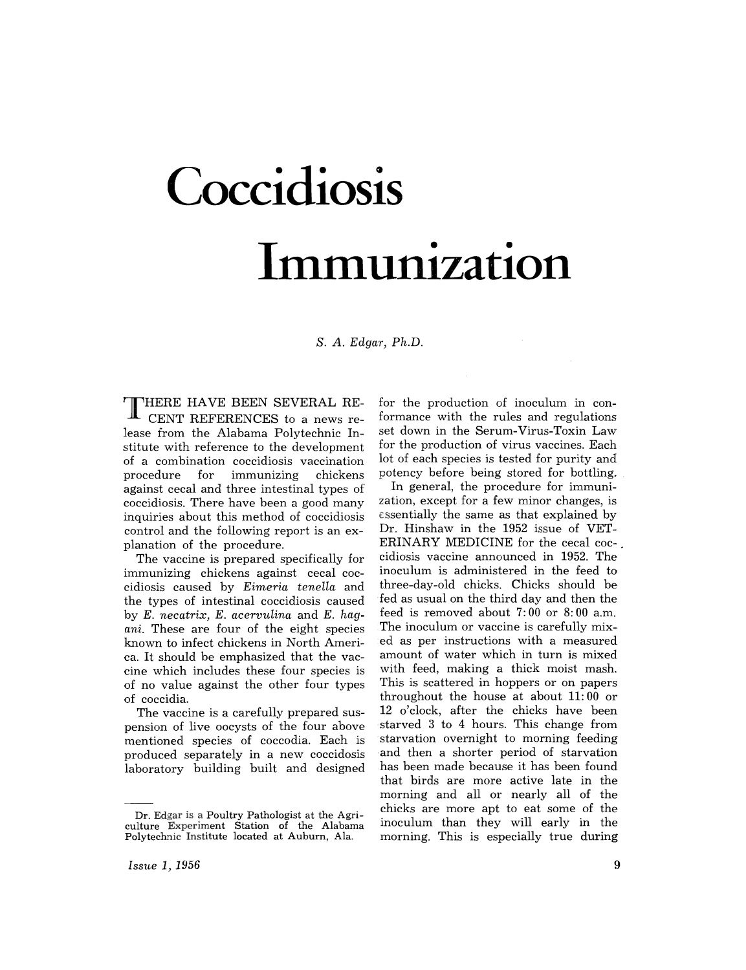# **Coccidiosis Immunization**

s. A. *Edgar, Ph.D.* 

**THERE** HAVE BEEN SEVERAL RE-CENT REFERENCES to a news release trom the Alabama Polytechnic Institute with reference to the development of a combination coccidiosis vaccination for immunizing against cecal and three intestinal types of coccidiosis. There have been a good many inquiries about this method of coccidiosis control and the following report is an explanation of the procedure.

The vaccine is prepared specifically for immunizing chickens against cecal coccidiosis caused by *Eimeria tenella* and the types of intestinal coccidiosis caused by *E. necatrix, E. acervuLina* and *E. hagani.* These are four of the eight species known to infect chickens in North America. It should be emphasized that the vaccine which includes these four species is of no value against the other four types of coccidia.

The vaccine is a carefully prepared suspension of live oocysts of the four above mentioned species of coccodia. Each is produced separately in a new coccidosis laboratory building built and designed for the production of inoculum in conformance with the rules and regulations set down in the Serum-Virus-Toxin Law for the production of virus vaccines. Each lot of each species is tested for purity and potency before being stored for bottling.

In general, the procedure for immunization, except for a few minor changes, is essentially the same as that explained by Dr. Hinshaw in the 1952 issue of VET-ERINARY MEDICINE for the cecal coccidiosis vaccine announced in 1952. The inoculum is administered in the feed to three-day-old chicks. Chicks should be fed as usual on the third day and then the feed is removed about 7: 00 or 8: 00 a.m. The inoculum or vaccine is carefully mixed as per instructions with a measured amount of water which in turn is mixed with feed, making a thick moist mash. This is scattered in hoppers or on papers throughout the house at about 11:00 or 12 o'clock, after the chicks have been starved 3 to 4 hours. This change from starvation overnight to morning feeding and then a shorter period of starvation has been made because it has been found that birds are more active late in the morning and all or nearly all of the chicks are more apt to eat some of the inoculum than they will early in the morning. This is especially true during

Dr. Edgar is a Poultry Pathologist at the Agriculture Experiment Station of the Alabama Polytechnic Institute located at Auburn, Ala.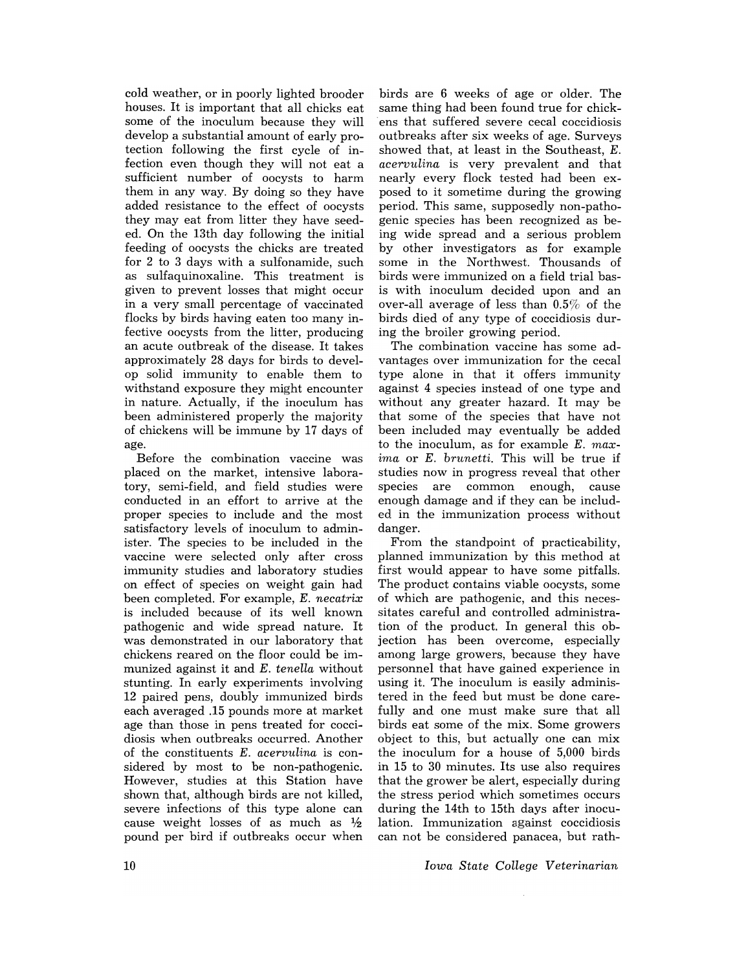cold weather, or in poorly lighted brooder houses. It is important that all chicks eat some of the inoculum because they will develop a substantial amount of early protection following the first cycle of infection even though they will not eat a sufficient number of oocysts to harm them in any way. By doing so they have added resistance to the effect of oocysts they may eat from litter they have seeded. On the 13th day following the initial feeding of oocysts the chicks are treated for 2 to 3 days with a sulfonamide, such as sulfaquinoxaline. This treatment is given to prevent losses that might occur in a very small percentage of vaccinated flocks by birds having eaten too many infective oocysts from the litter, producing an acute outbreak of the disease. It takes approximately 28 days for birds to develop solid immunity to enable them to withstand exposure they might encounter in nature. Actually, if the inoculum has been administered properly the majority of chickens will be immune by 17 days of age.

Before the combination vaccine was placed on the market, intensive laboratory, semi-field, and field studies were conducted in an effort to arrive at the proper species to include and the most satisfactory levels of inoculum to administer. The species to be included in the vaccine were selected only after cross immunity studies and laboratory studies on effect of species on weight gain had been completed. For example, *E. necatrix*  is included because of its well known pathogenic and wide spread nature. It was demonstrated in our laboratory that chickens reared on the floor could be immunized against it and *E. tenella* without stunting. In early experiments involving 12 paired pens, doubly immunized birds each averaged .15 pounds more at market age than those in pens treated for coccidiosis when outbreaks occurred. Another of the constituents *E. acervulina* is considered by most to be non-pathogenic. However, studies at this Station have shown that, although birds are not killed, severe infections of this type alone can cause weight losses of as much as  $\frac{1}{2}$ pound per bird if outbreaks occur when

birds are 6 weeks of age or older. The same thing had been found true for chickens that suffered severe cecal coccidiosis outbreaks after six weeks of age. Surveys showed that, at least in the Southeast, E. *acervulina* is very prevalent and that nearly every flock tested had been exposed to it sometime during the growing period. This same, supposedly non-pathogenic species has been recognized as being wide spread and a serious problem by other investigators as for example some in the Northwest. Thousands of birds were immunized on a field trial basis with inoculum decided upon and an over-all average of less than 0.5% of the birds died of any type of coccidiosis during the broiler growing period.

The combination vaccine has some advantages over immunization for the cecal type alone in that it offers immunity against 4 species instead of one type and without any greater hazard. It may be that some of the species that have not been included may eventually be added to the inoculum, as for example *E*, max*ima* or *E. brunetti.* This will be true if studies now in progress reveal that other species are common enough, cause enough damage and if they can be included in the immunization process without danger.

From the standpoint of practicability, planned immunization by this method at first would appear to have some pitfalls. The product contains viable oocysts, some of which are pathogenic, and this necessitates careful and controlled administration of the product. In general this objection has been overcome, especially among large growers, because they have personnel that have gained experience in using it. The inoculum is easily administered in the feed but must be done carefully and one must make sure that all birds eat some of the mix. Some growers object to this, but actually one can mix the inoculum for a house of 5,000 birds in 15 to 30 minutes. Its use also requires that the grower be alert, especially during the stress period which sometimes occurs during the 14th to 15th days after inoculation. Immunization against coccidiosis can not be considered panacea, but rath-

*Iowa State College Veterinarian*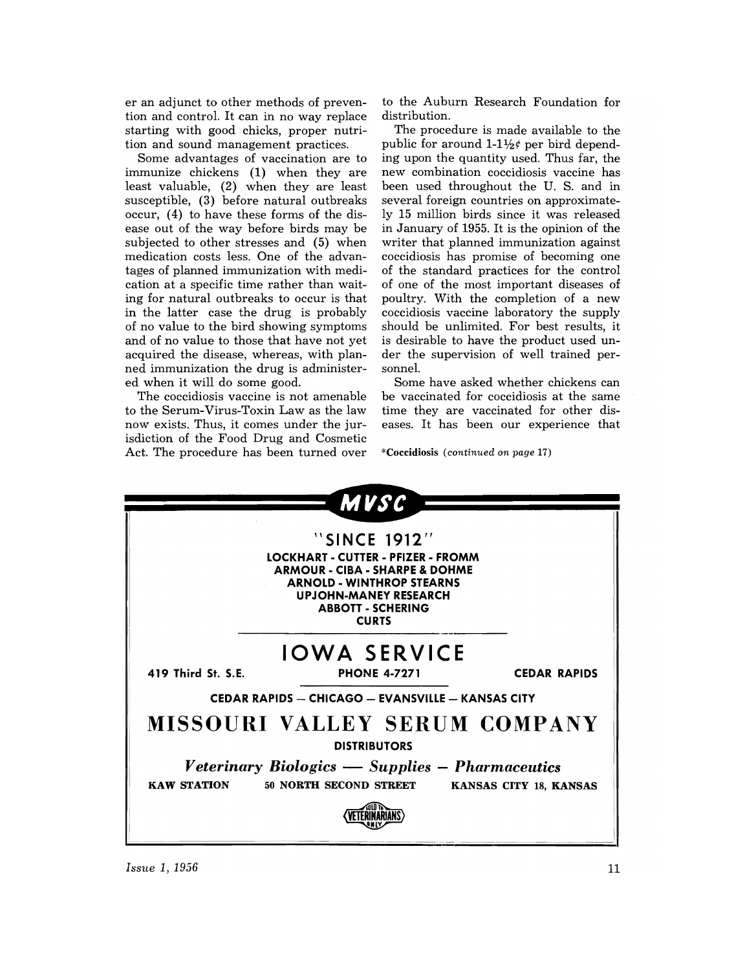er an adjunct to other methods of prevention and control. It can in no way replace starting with good chicks, proper nutrition and sound management practices.

Some advantages of vaccination are to immunize chickens (1) when they are least valuable, (2) when they are least susceptible, (3) before natural outbreaks occur, (4) to have these forms of the disease out of the way before birds may be subjected to other stresses and (5) when medication costs less. One of the advantages of planned immunization with medication at a specific time rather than waiting for natural outbreaks to occur is that in the latter case the drug is probably of no value to the bird showing symptoms and of no value to those that have not yet acquired the disease, whereas, with planned immunization the drug is administered when it will do some good.

The coccidiosis vaccine is not amenable to the Serum-Virus-Toxin Law as the law now exists. Thus, it comes under the jurisdiction of the Food Drug and Cosmetic Act. The procedure has been turned over to the Auburn Research Foundation for distribution.

The procedure is made available to the public for around  $1-1\frac{1}{2}\ell$  per bird depending upon the quantity used. Thus far, the new combination coccidiosis vaccine has been used throughout the U. S. and in several foreign countries on approximately 15 million birds since it was released in January of 1955. It is the opinion of the writer that planned immunization against coccidiosis has promise of becoming one of the standard practices for the control of one of the most important diseases of poultry. With the completion of a new coccidiosis vaccine laboratory the supply should be unlimited. For best results, it is desirable to have the product used under the supervision of well trained personnel.

Some have asked whether chickens can be vaccinated for coccidiosis at the same time they are vaccinated for other diseases. It has been our experience that

\*Coccidiosis *(continued on page* 17)